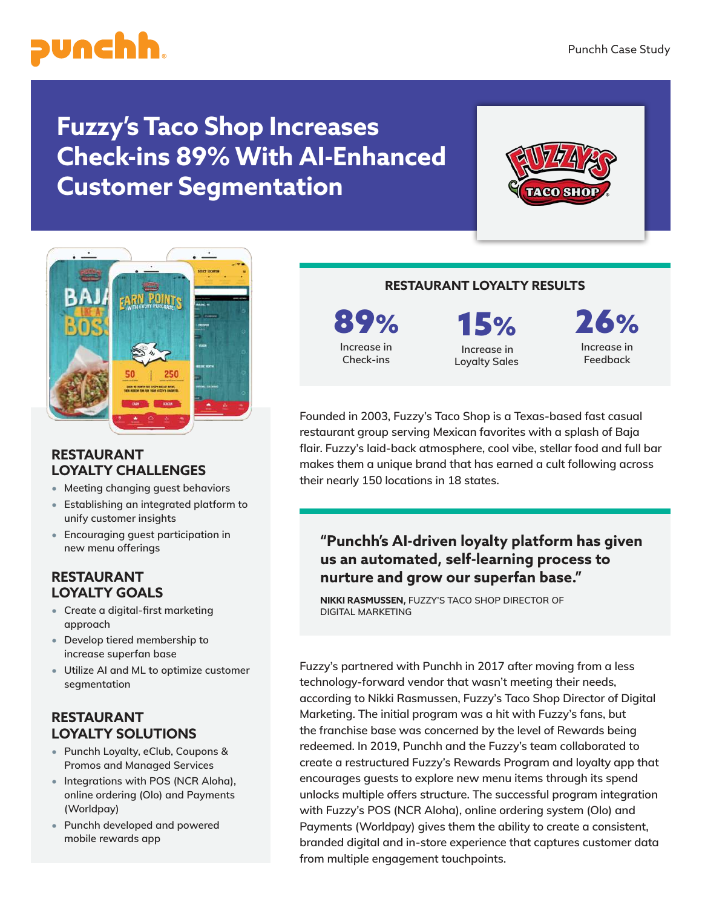

# **Fuzzy's Taco Shop Increases Check-ins 89% With AI-Enhanced Customer Segmentation**





#### **RESTAURANT LOYALTY CHALLENGES**

- **Meeting changing guest behaviors**
- **Establishing an integrated platform to unify customer insights**
- **Encouraging guest participation in new menu offerings**

## **RESTAURANT LOYALTY GOALS**

- **Create a digital-first marketing approach**
- **Develop tiered membership to increase superfan base**
- **Utilize AI and ML to optimize customer segmentation**

## **RESTAURANT LOYALTY SOLUTIONS**

- **Punchh Loyalty, eClub, Coupons & Promos and Managed Services**
- **Integrations with POS (NCR Aloha), online ordering (Olo) and Payments (Worldpay)**
- **Punchh developed and powered mobile rewards app**

### **RESTAURANT LOYALTY RESULTS**

89% **Increase in Check-ins**

15% **Increase in** 

**Loyalty Sales**

26% **Increase in Feedback**

**Founded in 2003, Fuzzy's Taco Shop is a Texas-based fast casual restaurant group serving Mexican favorites with a splash of Baja flair. Fuzzy's laid-back atmosphere, cool vibe, stellar food and full bar makes them a unique brand that has earned a cult following across their nearly 150 locations in 18 states.** 

# **"Punchh's AI-driven loyalty platform has given us an automated, self-learning process to nurture and grow our superfan base."**

**NIKKI RASMUSSEN, FUZZY'S TACO SHOP DIRECTOR OF DIGITAL MARKETING**

**Fuzzy's partnered with Punchh in 2017 after moving from a less technology-forward vendor that wasn't meeting their needs, according to Nikki Rasmussen, Fuzzy's Taco Shop Director of Digital Marketing. The initial program was a hit with Fuzzy's fans, but the franchise base was concerned by the level of Rewards being redeemed. In 2019, Punchh and the Fuzzy's team collaborated to create a restructured Fuzzy's Rewards Program and loyalty app that encourages guests to explore new menu items through its spend unlocks multiple offers structure. The successful program integration with Fuzzy's POS (NCR Aloha), online ordering system (Olo) and Payments (Worldpay) gives them the ability to create a consistent, branded digital and in-store experience that captures customer data from multiple engagement touchpoints.**